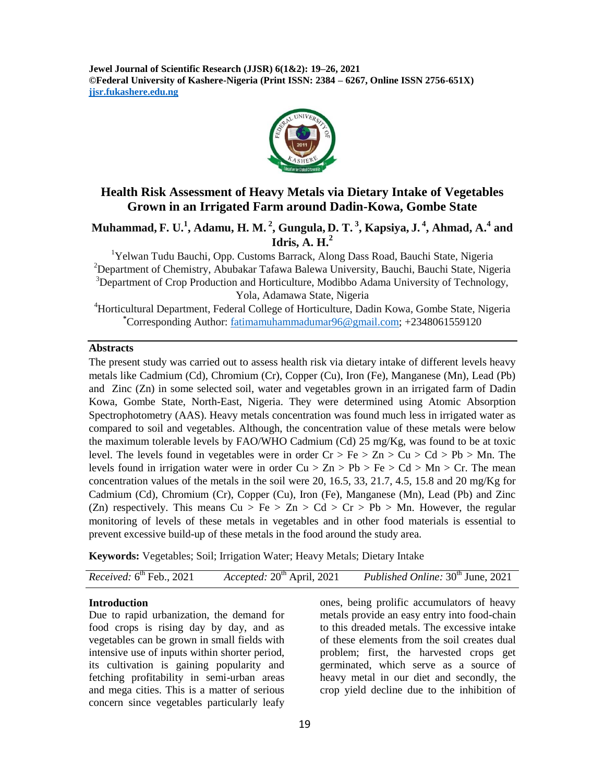**Jewel Journal of Scientific Research (JJSR) 6(1&2): 19–26, 2021 ©Federal University of Kashere-Nigeria (Print ISSN: 2384 – 6267, Online ISSN 2756-651X) jjsr.fukashere.edu.ng**



## **Health Risk Assessment of Heavy Metals via Dietary Intake of Vegetables Grown in an Irrigated Farm around Dadin-Kowa, Gombe State**

**Muhammad, F. U.<sup>1</sup> , Adamu, H. M. <sup>2</sup> , Gungula, D. T. <sup>3</sup> , Kapsiya, J. <sup>4</sup> , Ahmad, A.<sup>4</sup> and Idris, A. H.<sup>2</sup>**

<sup>1</sup>Yelwan Tudu Bauchi, Opp. Customs Barrack, Along Dass Road, Bauchi State, Nigeria <sup>2</sup>Department of Chemistry, Abubakar Tafawa Balewa University, Bauchi, Bauchi State, Nigeria <sup>3</sup>Department of Crop Production and Horticulture, Modibbo Adama University of Technology, Yola, Adamawa State, Nigeria

<sup>4</sup>Horticultural Department, Federal College of Horticulture, Dadin Kowa, Gombe State, Nigeria **\***Corresponding Author: [fatimamuhammadumar96@gmail.com;](mailto:fatimamuhammadumar96@gmail.com) +2348061559120

#### **Abstracts**

The present study was carried out to assess health risk via dietary intake of different levels heavy metals like Cadmium (Cd), Chromium (Cr), Copper (Cu), Iron (Fe), Manganese (Mn), Lead (Pb) and Zinc (Zn) in some selected soil, water and vegetables grown in an irrigated farm of Dadin Kowa, Gombe State, North-East, Nigeria. They were determined using Atomic Absorption Spectrophotometry (AAS). Heavy metals concentration was found much less in irrigated water as compared to soil and vegetables. Although, the concentration value of these metals were below the maximum tolerable levels by FAO/WHO Cadmium (Cd) 25 mg/Kg, was found to be at toxic level. The levels found in vegetables were in order  $Cr > Fe > Zn > Cu > Cd > Pb > Mn$ . The levels found in irrigation water were in order  $Cu > Zn > Pb > Fe > Cd > Mn > Cr$ . The mean concentration values of the metals in the soil were 20, 16.5, 33, 21.7, 4.5, 15.8 and 20 mg/Kg for Cadmium (Cd), Chromium (Cr), Copper (Cu), Iron (Fe), Manganese (Mn), Lead (Pb) and Zinc (Zn) respectively. This means  $Cu > Fe > Zn > Cd > Cr > Pb > Mn$ . However, the regular monitoring of levels of these metals in vegetables and in other food materials is essential to prevent excessive build-up of these metals in the food around the study area.

**Keywords:** Vegetables; Soil; Irrigation Water; Heavy Metals; Dietary Intake

| <i>Received:</i> $6^{th}$ Feb., 2021 | Accepted: $20^{\text{th}}$ April, 2021 | <i>Published Online:</i> 30 <sup>th</sup> June, 2021 |
|--------------------------------------|----------------------------------------|------------------------------------------------------|
|--------------------------------------|----------------------------------------|------------------------------------------------------|

#### **Introduction**

Due to rapid urbanization, the demand for food crops is rising day by day, and as vegetables can be grown in small fields with intensive use of inputs within shorter period, its cultivation is gaining popularity and fetching profitability in semi-urban areas and mega cities. This is a matter of serious concern since vegetables particularly leafy

ones, being prolific accumulators of heavy metals provide an easy entry into food-chain to this dreaded metals. The excessive intake of these elements from the soil creates dual problem; first, the harvested crops get germinated, which serve as a source of heavy metal in our diet and secondly, the crop yield decline due to the inhibition of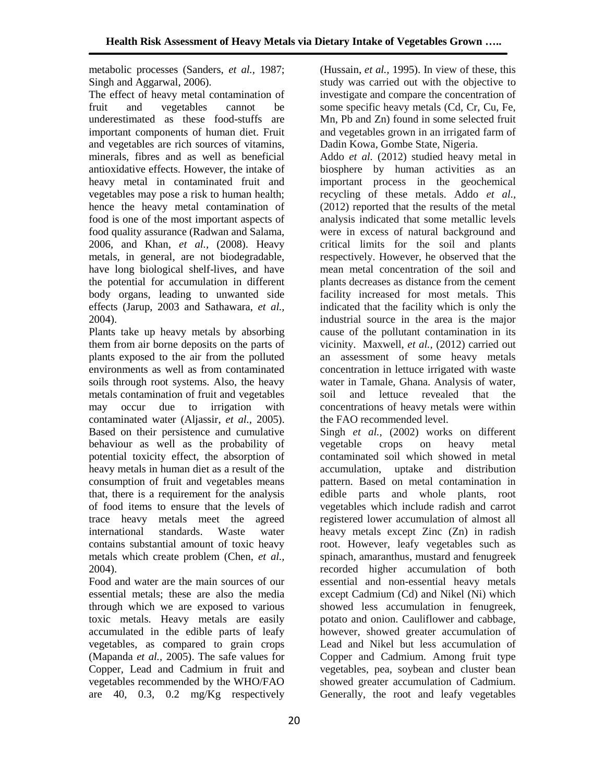metabolic processes (Sanders, *et al.,* 1987; Singh and Aggarwal, 2006).

The effect of heavy metal contamination of fruit and vegetables cannot be underestimated as these food-stuffs are important components of human diet. Fruit and vegetables are rich sources of vitamins, minerals, fibres and as well as beneficial antioxidative effects. However, the intake of heavy metal in contaminated fruit and vegetables may pose a risk to human health; hence the heavy metal contamination of food is one of the most important aspects of food quality assurance (Radwan and Salama, 2006, and Khan, *et al.,* (2008). Heavy metals, in general, are not biodegradable, have long biological shelf-lives, and have the potential for accumulation in different body organs, leading to unwanted side effects (Jarup, 2003 and Sathawara, *et al.,*  2004).

Plants take up heavy metals by absorbing them from air borne deposits on the parts of plants exposed to the air from the polluted environments as well as from contaminated soils through root systems. Also, the heavy metals contamination of fruit and vegetables may occur due to irrigation with contaminated water (Aljassir, *et al.,* 2005). Based on their persistence and cumulative behaviour as well as the probability of potential toxicity effect, the absorption of heavy metals in human diet as a result of the consumption of fruit and vegetables means that, there is a requirement for the analysis of food items to ensure that the levels of trace heavy metals meet the agreed international standards. Waste water contains substantial amount of toxic heavy metals which create problem (Chen, *et al.,* 2004).

Food and water are the main sources of our essential metals; these are also the media through which we are exposed to various toxic metals. Heavy metals are easily accumulated in the edible parts of leafy vegetables, as compared to grain crops (Mapanda *et al.,* 2005). The safe values for Copper, Lead and Cadmium in fruit and vegetables recommended by the WHO/FAO are 40, 0.3, 0.2 mg/Kg respectively

(Hussain, *et al.,* 1995). In view of these, this study was carried out with the objective to investigate and compare the concentration of some specific heavy metals (Cd, Cr, Cu, Fe, Mn, Pb and Zn) found in some selected fruit and vegetables grown in an irrigated farm of Dadin Kowa, Gombe State, Nigeria.

Addo *et al.* (2012) studied heavy metal in biosphere by human activities as an important process in the geochemical recycling of these metals. Addo *et al.,* (2012) reported that the results of the metal analysis indicated that some metallic levels were in excess of natural background and critical limits for the soil and plants respectively. However, he observed that the mean metal concentration of the soil and plants decreases as distance from the cement facility increased for most metals. This indicated that the facility which is only the industrial source in the area is the major cause of the pollutant contamination in its vicinity. Maxwell, *et al.,* (2012) carried out an assessment of some heavy metals concentration in lettuce irrigated with waste water in Tamale, Ghana. Analysis of water, soil and lettuce revealed that the concentrations of heavy metals were within the FAO recommended level.

Singh *et al.,* (2002) works on different vegetable crops on heavy metal contaminated soil which showed in metal accumulation, uptake and distribution pattern. Based on metal contamination in edible parts and whole plants, root vegetables which include radish and carrot registered lower accumulation of almost all heavy metals except Zinc (Zn) in radish root. However, leafy vegetables such as spinach, amaranthus, mustard and fenugreek recorded higher accumulation of both essential and non-essential heavy metals except Cadmium (Cd) and Nikel (Ni) which showed less accumulation in fenugreek, potato and onion. Cauliflower and cabbage, however, showed greater accumulation of Lead and Nikel but less accumulation of Copper and Cadmium. Among fruit type vegetables, pea, soybean and cluster bean showed greater accumulation of Cadmium. Generally, the root and leafy vegetables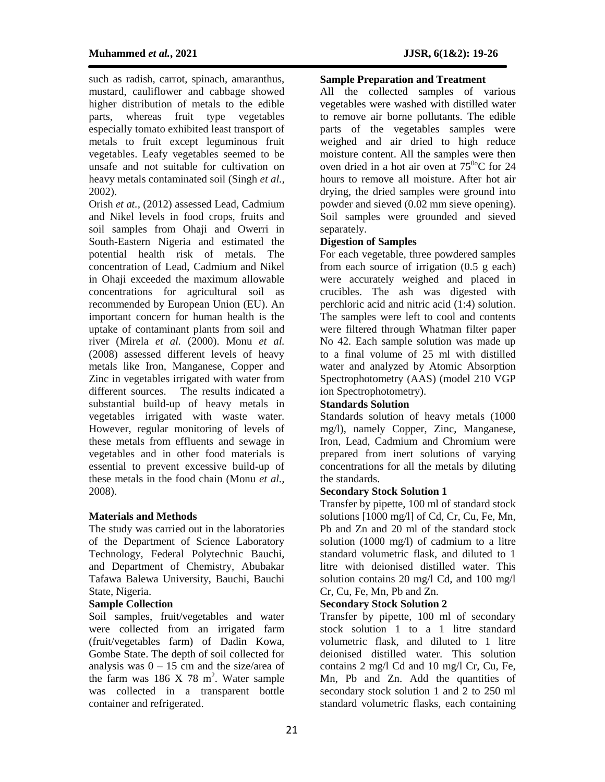such as radish, carrot, spinach, amaranthus, mustard, cauliflower and cabbage showed higher distribution of metals to the edible parts, whereas fruit type vegetables especially tomato exhibited least transport of metals to fruit except leguminous fruit vegetables. Leafy vegetables seemed to be unsafe and not suitable for cultivation on heavy metals contaminated soil (Singh *et al.,* 2002).

Orish *et at.,* (2012) assessed Lead, Cadmium and Nikel levels in food crops, fruits and soil samples from Ohaji and Owerri in South-Eastern Nigeria and estimated the potential health risk of metals. The concentration of Lead, Cadmium and Nikel in Ohaji exceeded the maximum allowable concentrations for agricultural soil as recommended by European Union (EU). An important concern for human health is the uptake of contaminant plants from soil and river (Mirela *et al.* (2000). Monu *et al.* (2008) assessed different levels of heavy metals like Iron, Manganese, Copper and Zinc in vegetables irrigated with water from different sources. The results indicated a substantial build-up of heavy metals in vegetables irrigated with waste water. However, regular monitoring of levels of these metals from effluents and sewage in vegetables and in other food materials is essential to prevent excessive build-up of these metals in the food chain (Monu *et al.,* 2008).

## **Materials and Methods**

The study was carried out in the laboratories of the Department of Science Laboratory Technology, Federal Polytechnic Bauchi, and Department of Chemistry, Abubakar Tafawa Balewa University, Bauchi, Bauchi State, Nigeria.

#### **Sample Collection**

Soil samples, fruit/vegetables and water were collected from an irrigated farm (fruit/vegetables farm) of Dadin Kowa, Gombe State. The depth of soil collected for analysis was  $0 - 15$  cm and the size/area of the farm was  $186 \text{ X } 78 \text{ m}^2$ . Water sample was collected in a transparent bottle container and refrigerated.

## **Sample Preparation and Treatment**

All the collected samples of various vegetables were washed with distilled water to remove air borne pollutants. The edible parts of the vegetables samples were weighed and air dried to high reduce moisture content. All the samples were then oven dried in a hot air oven at  $75^{00}$ C for 24 hours to remove all moisture. After hot air drying, the dried samples were ground into powder and sieved (0.02 mm sieve opening). Soil samples were grounded and sieved separately.

#### **Digestion of Samples**

For each vegetable, three powdered samples from each source of irrigation (0.5 g each) were accurately weighed and placed in crucibles. The ash was digested with perchloric acid and nitric acid (1:4) solution. The samples were left to cool and contents were filtered through Whatman filter paper No 42. Each sample solution was made up to a final volume of 25 ml with distilled water and analyzed by Atomic Absorption Spectrophotometry (AAS) (model 210 VGP ion Spectrophotometry).

#### **Standards Solution**

Standards solution of heavy metals (1000 mg/l), namely Copper, Zinc, Manganese, Iron, Lead, Cadmium and Chromium were prepared from inert solutions of varying concentrations for all the metals by diluting the standards.

#### **Secondary Stock Solution 1**

Transfer by pipette, 100 ml of standard stock solutions [1000 mg/l] of Cd, Cr, Cu, Fe, Mn, Pb and Zn and 20 ml of the standard stock solution (1000 mg/l) of cadmium to a litre standard volumetric flask, and diluted to 1 litre with deionised distilled water. This solution contains 20 mg/l Cd, and 100 mg/l Cr, Cu, Fe, Mn, Pb and Zn.

#### **Secondary Stock Solution 2**

Transfer by pipette, 100 ml of secondary stock solution 1 to a 1 litre standard volumetric flask, and diluted to 1 litre deionised distilled water. This solution contains 2 mg/l Cd and 10 mg/l Cr, Cu, Fe, Mn, Pb and Zn. Add the quantities of secondary stock solution 1 and 2 to 250 ml standard volumetric flasks, each containing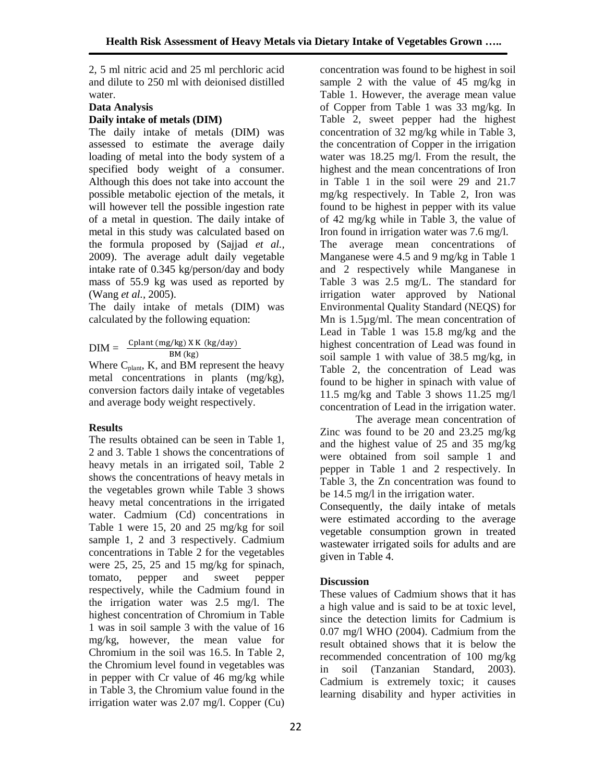2, 5 ml nitric acid and 25 ml perchloric acid and dilute to 250 ml with deionised distilled water.

## **Data Analysis Daily intake of metals (DIM)**

The daily intake of metals (DIM) was assessed to estimate the average daily loading of metal into the body system of a specified body weight of a consumer. Although this does not take into account the possible metabolic ejection of the metals, it will however tell the possible ingestion rate of a metal in question. The daily intake of metal in this study was calculated based on the formula proposed by (Sajjad *et al.,* 2009). The average adult daily vegetable intake rate of 0.345 kg/person/day and body mass of 55.9 kg was used as reported by (Wang *et al.,* 2005).

The daily intake of metals (DIM) was calculated by the following equation:

 $DIM = \frac{Cplant(mg/kg) X K (kg/day)}{}$  $BM (kg)$ 

Where  $C_{\text{plant}}$ , K, and BM represent the heavy metal concentrations in plants (mg/kg), conversion factors daily intake of vegetables and average body weight respectively.

## **Results**

The results obtained can be seen in Table 1, 2 and 3. Table 1 shows the concentrations of heavy metals in an irrigated soil, Table 2 shows the concentrations of heavy metals in the vegetables grown while Table 3 shows heavy metal concentrations in the irrigated water. Cadmium (Cd) concentrations in Table 1 were 15, 20 and 25 mg/kg for soil sample 1, 2 and 3 respectively. Cadmium concentrations in Table 2 for the vegetables were 25, 25, 25 and 15 mg/kg for spinach, tomato, pepper and sweet pepper respectively, while the Cadmium found in the irrigation water was 2.5 mg/l. The highest concentration of Chromium in Table 1 was in soil sample 3 with the value of 16 mg/kg, however, the mean value for Chromium in the soil was 16.5. In Table 2, the Chromium level found in vegetables was in pepper with Cr value of 46 mg/kg while in Table 3, the Chromium value found in the irrigation water was 2.07 mg/l. Copper (Cu)

concentration was found to be highest in soil sample 2 with the value of 45 mg/kg in Table 1. However, the average mean value of Copper from Table 1 was 33 mg/kg. In Table 2, sweet pepper had the highest concentration of 32 mg/kg while in Table 3, the concentration of Copper in the irrigation water was 18.25 mg/l. From the result, the highest and the mean concentrations of Iron in Table 1 in the soil were 29 and 21.7 mg/kg respectively. In Table 2, Iron was found to be highest in pepper with its value of 42 mg/kg while in Table 3, the value of Iron found in irrigation water was 7.6 mg/l.

The average mean concentrations of Manganese were 4.5 and 9 mg/kg in Table 1 and 2 respectively while Manganese in Table 3 was 2.5 mg/L. The standard for irrigation water approved by National Environmental Quality Standard (NEQS) for Mn is 1.5µg/ml. The mean concentration of Lead in Table 1 was 15.8 mg/kg and the highest concentration of Lead was found in soil sample 1 with value of 38.5 mg/kg, in Table 2, the concentration of Lead was found to be higher in spinach with value of 11.5 mg/kg and Table 3 shows 11.25 mg/l concentration of Lead in the irrigation water.

The average mean concentration of Zinc was found to be 20 and 23.25 mg/kg and the highest value of 25 and 35 mg/kg were obtained from soil sample 1 and pepper in Table 1 and 2 respectively. In Table 3, the Zn concentration was found to be 14.5 mg/l in the irrigation water.

Consequently, the daily intake of metals were estimated according to the average vegetable consumption grown in treated wastewater irrigated soils for adults and are given in Table 4.

# **Discussion**

These values of Cadmium shows that it has a high value and is said to be at toxic level, since the detection limits for Cadmium is 0.07 mg/l WHO (2004). Cadmium from the result obtained shows that it is below the recommended concentration of 100 mg/kg in soil (Tanzanian Standard, 2003). Cadmium is extremely toxic; it causes learning disability and hyper activities in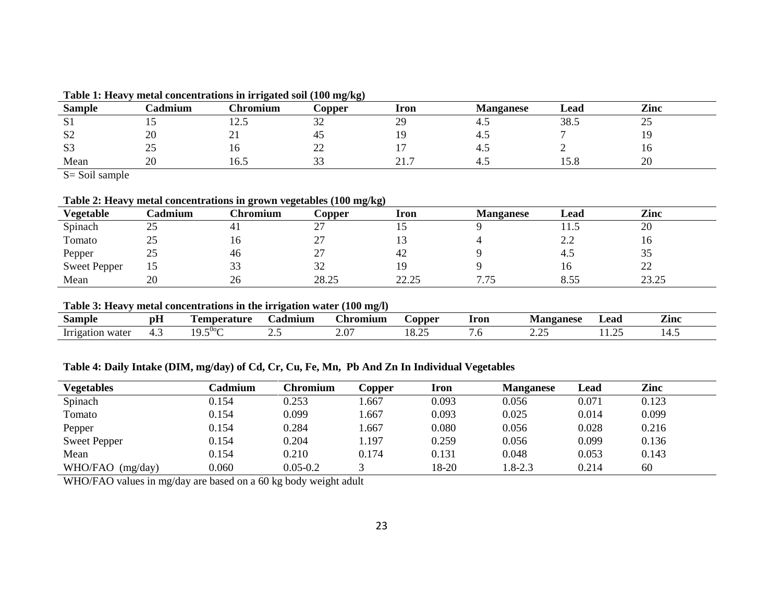| <b>Sample</b>          | <b>admium</b> | hromium!                   | $\mathcal{L}$ opper                | <b>Iron</b>      | <b>Manganese</b> | Lead                             | Zinc                |
|------------------------|---------------|----------------------------|------------------------------------|------------------|------------------|----------------------------------|---------------------|
| $\sim$<br>$\mathbf{u}$ | …             | $\sim$<br>$1 \overline{2}$ | $\sim$<br>ے ب                      | $\gamma$<br>ر سه | т.               | 38.5                             | $\sim$ $\sim$<br>ر_ |
| S <sub>2</sub>         | 20            | ∠⊥                         |                                    |                  | $+$              |                                  |                     |
| S <sub>3</sub>         | າ ເ<br>ر 2    | 1 V                        | $\sim$<br>$\overline{\phantom{m}}$ |                  | $+ \sim$         |                                  | $\mathbf{v}$        |
| Mean                   | 20            | $\sim$ $\sim$<br>16.5      | $\sim$<br>ັບ                       | 217<br><u>.</u>  | т.               | $\overline{\phantom{0}}$<br>19.0 | $\Omega$<br>∠∪      |

**Table 1: Heavy metal concentrations in irrigated soil (100 mg/kg)**

S= Soil sample

**Table 2: Heavy metal concentrations in grown vegetables (100 mg/kg)**

| Vegetable           | <b>Cadmium</b> | Chromium | $\mathcal{L}$ opper | <b>Iron</b> | <b>Manganese</b> | Lead | Zinc    |
|---------------------|----------------|----------|---------------------|-------------|------------------|------|---------|
| Spinach             | 25             | 41       | ↩.                  |             |                  | 11.J | 20      |
| Tomato              | 25             | 10       | $\sim$<br>∼         |             |                  | 2.2  | 10      |
| Pepper              | 25             | 46       | ا ت                 | 42          |                  | 4.5  | JJ      |
| <b>Sweet Pepper</b> | 15             | 33       | $\Omega$<br>32      |             |                  | 16   | ററ<br>∼ |
| Mean                | 20             | 26       | 28.25               | 22.25       | 7.75             | 8.55 | 23.25   |

**Table 3: Heavy metal concentrations in the irrigation water (100 mg/l)**

| Sample              | $-$<br>рH                   | emperature              | admium | <b>hromium</b>                     | $\therefore$ opper                           | Iron    | <b>Aanganese</b> | Lead | $\sim$<br>Zinc |
|---------------------|-----------------------------|-------------------------|--------|------------------------------------|----------------------------------------------|---------|------------------|------|----------------|
| water<br>~<br>тоянс | . .<br>$\ddot{\phantom{0}}$ | $-00<$<br>$\sim$<br>ں ۔ | ں ۔    | $\sim$<br>$\overline{\phantom{a}}$ | $\sim$<br>$\sim$<br>. .<br>$\sim$<br>. v. 20 | $\cdot$ | $\sim$<br>,,,,   | .    | .              |

**Table 4: Daily Intake (DIM, mg/day) of Cd, Cr, Cu, Fe, Mn, Pb And Zn In Individual Vegetables**

| <b>Vegetables</b>   | Cadmium | Chromium     | Copper | Iron  | <b>Manganese</b> | Lead  | Zinc  |
|---------------------|---------|--------------|--------|-------|------------------|-------|-------|
| Spinach             | 0.154   | 0.253        | .667   | 0.093 | 0.056            | 0.071 | 0.123 |
| Tomato              | 0.154   | 0.099        | .667   | 0.093 | 0.025            | 0.014 | 0.099 |
| Pepper              | 0.154   | 0.284        | .667   | 0.080 | 0.056            | 0.028 | 0.216 |
| <b>Sweet Pepper</b> | 0.154   | 0.204        | .197   | 0.259 | 0.056            | 0.099 | 0.136 |
| Mean                | 0.154   | 0.210        | 0.174  | 0.131 | 0.048            | 0.053 | 0.143 |
| WHO/FAO (mg/day)    | 0.060   | $0.05 - 0.2$ |        | 18-20 | 1.8-2.3          | 0.214 | 60    |

WHO/FAO values in mg/day are based on a 60 kg body weight adult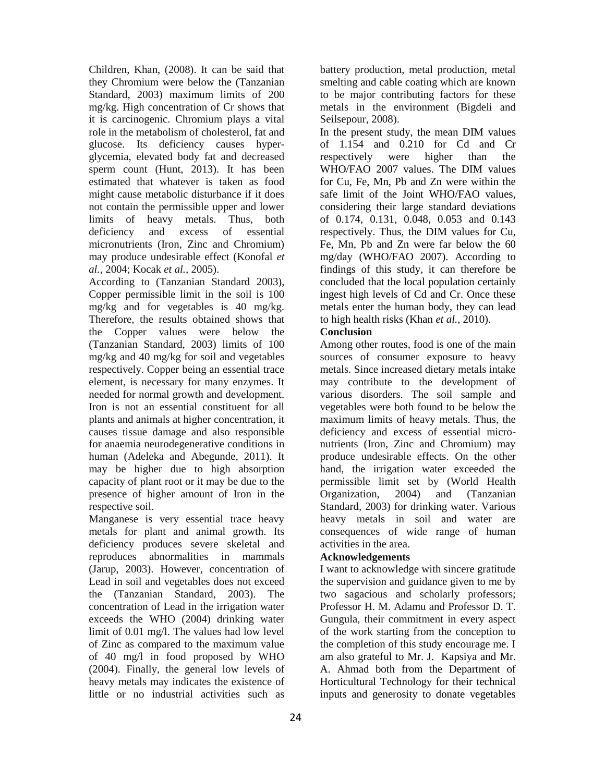Children, Khan, (2008). It can be said that they Chromium were below the (Tanzanian Standard, 2003) maximum limits of 200 mg/kg. High concentration of Cr shows that it is carcinogenic. Chromium plays a vital role in the metabolism of cholesterol, fat and glucose. Its deficiency causes hyperglycemia, elevated body fat and decreased sperm count (Hunt, 2013). It has been estimated that whatever is taken as food might cause metabolic disturbance if it does not contain the permissible upper and lower limits of heavy metals. Thus, both deficiency and excess of essential micronutrients (Iron, Zinc and Chromium) may produce undesirable effect (Konofal *et al.,* 2004; Kocak *et al.,* 2005).

According to (Tanzanian Standard 2003), Copper permissible limit in the soil is 100 mg/kg and for vegetables is 40 mg/kg. Therefore, the results obtained shows that the Copper values were below the (Tanzanian Standard, 2003) limits of 100 mg/kg and 40 mg/kg for soil and vegetables respectively. Copper being an essential trace element, is necessary for many enzymes. It needed for normal growth and development. Iron is not an essential constituent for all plants and animals at higher concentration, it causes tissue damage and also responsible for anaemia neurodegenerative conditions in human (Adeleka and Abegunde, 2011). It may be higher due to high absorption capacity of plant root or it may be due to the presence of higher amount of Iron in the respective soil.

Manganese is very essential trace heavy metals for plant and animal growth. Its deficiency produces severe skeletal and reproduces abnormalities in mammals (Jarup, 2003). However, concentration of Lead in soil and vegetables does not exceed the (Tanzanian Standard, 2003). The concentration of Lead in the irrigation water exceeds the WHO (2004) drinking water limit of 0.01 mg/l. The values had low level of Zinc as compared to the maximum value of 40 mg/l in food proposed by WHO (2004). Finally, the general low levels of heavy metals may indicates the existence of little or no industrial activities such as

battery production, metal production, metal smelting and cable coating which are known to be major contributing factors for these metals in the environment (Bigdeli and Seilsepour, 2008).

In the present study, the mean DIM values of 1.154 and 0.210 for Cd and Cr respectively were higher than the WHO/FAO 2007 values. The DIM values for Cu, Fe, Mn, Pb and Zn were within the safe limit of the Joint WHO/FAO values, considering their large standard deviations of 0.174, 0.131, 0.048, 0.053 and 0.143 respectively. Thus, the DIM values for Cu, Fe, Mn, Pb and Zn were far below the 60 mg/day (WHO/FAO 2007). According to findings of this study, it can therefore be concluded that the local population certainly ingest high levels of Cd and Cr. Once these metals enter the human body, they can lead to high health risks (Khan *et al.,* 2010).

#### **Conclusion**

Among other routes, food is one of the main sources of consumer exposure to heavy metals. Since increased dietary metals intake may contribute to the development of various disorders. The soil sample and vegetables were both found to be below the maximum limits of heavy metals. Thus, the deficiency and excess of essential micronutrients (Iron, Zinc and Chromium) may produce undesirable effects. On the other hand, the irrigation water exceeded the permissible limit set by (World Health Organization, 2004) and (Tanzanian Standard, 2003) for drinking water. Various heavy metals in soil and water are consequences of wide range of human activities in the area.

#### **Acknowledgements**

I want to acknowledge with sincere gratitude the supervision and guidance given to me by two sagacious and scholarly professors; Professor H. M. Adamu and Professor D. T. Gungula, their commitment in every aspect of the work starting from the conception to the completion of this study encourage me. I am also grateful to Mr. J. Kapsiya and Mr. A. Ahmad both from the Department of Horticultural Technology for their technical inputs and generosity to donate vegetables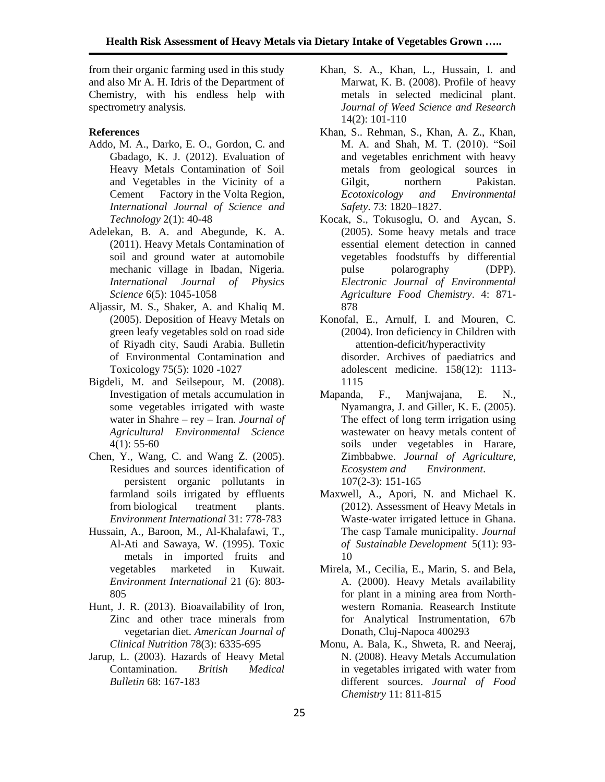from their organic farming used in this study and also Mr A. H. Idris of the Department of Chemistry, with his endless help with spectrometry analysis.

### **References**

- Addo, M. A., Darko, E. O., Gordon, C. and Gbadago, K. J. (2012). Evaluation of Heavy Metals Contamination of Soil and Vegetables in the Vicinity of a Cement Factory in the Volta Region, *International Journal of Science and Technology* 2(1): 40-48
- Adelekan, B. A. and Abegunde, K. A. (2011). Heavy Metals Contamination of soil and ground water at automobile mechanic village in Ibadan, Nigeria. *International Journal of Physics Science* 6(5): 1045-1058
- Aljassir, M. S., Shaker, A. and Khaliq M. (2005). Deposition of Heavy Metals on green leafy vegetables sold on road side of Riyadh city, Saudi Arabia. Bulletin of Environmental Contamination and Toxicology 75(5): 1020 -1027
- Bigdeli, M. and Seilsepour, M. (2008). Investigation of metals accumulation in some vegetables irrigated with waste water in Shahre – rey – Iran*. Journal of Agricultural Environmental Science*   $4(1)$ : 55-60
- Chen, Y., Wang, C. and Wang Z. (2005). Residues and sources identification of persistent organic pollutants in farmland soils irrigated by effluents from biological treatment plants. *Environment International* 31: 778-783
- Hussain, A., Baroon, M., Al-Khalafawi, T., Al-Ati and Sawaya, W. (1995). Toxic metals in imported fruits and vegetables marketed in Kuwait. *Environment International* 21 (6): 803- 805
- Hunt, J. R. (2013). Bioavailability of Iron, Zinc and other trace minerals from vegetarian diet. *American Journal of Clinical Nutrition* 78(3): 6335-695
- Jarup, L. (2003). Hazards of Heavy Metal<br>Contamination. British Medical Contamination. *British Medical Bulletin* 68: 167-183
- Khan, S. A., Khan, L., Hussain, I. and Marwat, K. B. (2008). Profile of heavy metals in selected medicinal plant. *Journal of Weed Science and Research*  14(2): 101-110
- Khan, S.. Rehman, S., Khan, A. Z., Khan, M. A. and Shah, M. T. (2010). "Soil and vegetables enrichment with heavy metals from geological sources in Gilgit, northern Pakistan. *Ecotoxicology and Environmental Safety*. 73: 1820–1827.
- Kocak, S., Tokusoglu, O. and Aycan, S. (2005). Some heavy metals and trace essential element detection in canned vegetables foodstuffs by differential pulse polarography (DPP). *Electronic Journal of Environmental Agriculture Food Chemistry*. 4: 871- 878
- Konofal, E., Arnulf, I. and Mouren, C. (2004). Iron deficiency in Children with attention-deficit/hyperactivity disorder. Archives of paediatrics and adolescent medicine. 158(12): 1113- 1115
- Mapanda, F., Manjwajana, E. N., Nyamangra, J. and Giller, K. E. (2005). The effect of long term irrigation using wastewater on heavy metals content of soils under vegetables in Harare, Zimbbabwe. *Journal of Agriculture, Ecosystem and Environment*. 107(2-3): 151-165
- Maxwell, A., Apori, N. and Michael K. (2012). Assessment of Heavy Metals in Waste-water irrigated lettuce in Ghana. The casp Tamale municipality. *Journal of Sustainable Development* 5(11): 93- 10
- Mirela, M., Cecilia, E., Marin, S. and Bela, A. (2000). Heavy Metals availability for plant in a mining area from Northwestern Romania. Reasearch Institute for Analytical Instrumentation, 67b Donath, Cluj-Napoca 400293
- Monu, A. Bala, K., Shweta, R. and Neeraj, N. (2008). Heavy Metals Accumulation in vegetables irrigated with water from different sources. *Journal of Food Chemistry* 11: 811-815